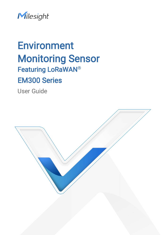

# Environment Monitoring Sensor Featuring LoRaWAN® EM300 Series

User Guide

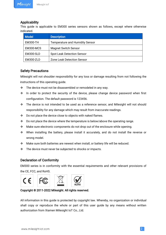#### Applicability

This guide is applicable to EM300 series sensors shown as follows, except where otherwise indicated.

| <b>Model</b>    | <b>Description</b>                     |
|-----------------|----------------------------------------|
| <b>EM300-TH</b> | <b>Temperature and Humidity Sensor</b> |
| EM300-MCS       | <b>Magnet Switch Sensor</b>            |
| EM300-SLD       | <b>Spot Leak Detection Sensor</b>      |
| EM300-ZLD       | Zone Leak Detection Sensor             |

#### Safety Precautions

Milesight will not shoulder responsibility for any loss or damage resulting from not following the instructions of this operating guide.

- $\cdot \cdot$  The device must not be disassembled or remodeled in any way.
- $\cdot$  In order to protect the security of the device, please change device password when first configuration. The default password is 123456.
- $\cdot \cdot$  The device is not intended to be used as a reference sensor, and Milesight will not should responsibility for any damage which may result from inaccurate readings.
- ◆ Do not place the device close to objects with naked flames.
- $\cdot \cdot$  Do not place the device where the temperature is below/above the operating range.
- Make sure electronic components do not drop out of the enclosure while opening.
- When installing the battery, please install it accurately, and do not install the reverse or wrong model.
- Make sure both batteries are newest when install, or battery life will be reduced.
- \* The device must never be subjected to shocks or impacts.

#### Declaration of Conformity

EM300 series is in conformity with the essential requirements and other relevant provisions of the CE, FCC, and RoHS.



#### Copyright © 2011-2022 Milesight. All rights reserved.

All information in this guide is protected by copyright law. Whereby, no organization or individual shall copy or reproduce the whole or part of this user guide by any means without written authorization from Xiamen Milesight IoT Co., Ltd.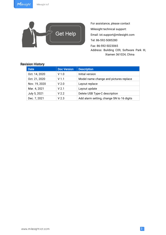

For assistance, please contact Milesight technical support: Email: iot.support@milesight.com Tel: 86-592-5085280 Fax: 86-592-5023065 Address: Building C09, Software Park III, Xiamen 361024, China

### Revision History

| <b>Date</b>   | <b>Doc Version</b> | <b>Description</b>                        |
|---------------|--------------------|-------------------------------------------|
| Oct. 14, 2020 | V <sub>1.0</sub>   | Initial version                           |
| Oct. 21, 2020 | V <sub>1.1</sub>   | Model name change and pictures replace    |
| Nov. 19, 2020 | V <sub>2.0</sub>   | Layout replace                            |
| Mar. 4, 2021  | V <sub>2.1</sub>   | Layout update                             |
| July 5, 2021  | V <sub>2.2</sub>   | Delete USB Type-C description             |
| Dec. 7, 2021  | V <sub>2.3</sub>   | Add alarm setting, change SN to 16 digits |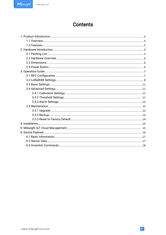## **Contents**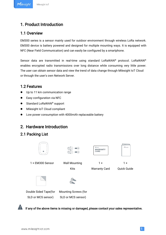### <span id="page-4-1"></span><span id="page-4-0"></span>1. Product Introduction

### 1.1 Overview

EM300 series is a sensor mainly used for outdoor environment through wireless LoRa network. EM300 device is battery powered and designed for multiple mounting ways. It is equipped with NFC (Near Field Communication) and can easily be configured by a smartphone.

Sensor data are transmitted in real-time using standard LoRaWAN® protocol. LoRaWAN® enables encrypted radio transmissions over long distance while consuming very little power. The user can obtain sensor data and view the trend of data change through Milesight IoT Cloud or through the user's own Network Server.

### 1.2 Features

- $\bullet$  Up to 11 km communication range
- **Easy configuration via NFC**
- Standard LoRaWAN<sup>®</sup> support
- $\bullet$  Milesight IoT Cloud compliant
- Low power consumption with 4000mAh replaceable battery

### 2. Hardware Introduction

### 2.1 Packing List



SLD or MCS sensor)

SLD or MCS sensor)



If any of the above items is missing or damaged, please contact your sales representative.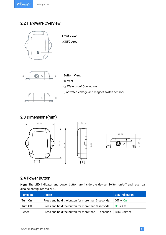### <span id="page-5-0"></span>2.2 Hardware Overview





#### Bottom View:

- ② Vent
- ③ Waterproof Connectors

(For water leakage and magnet switch sensor)

 $\circ$  $\circled{2}$  $\Box$ m

### 2.3 Dimensions(mm)







### 2.4 Power Button

Note: The LED indicator and power button are inside the device. Switch on/off and reset can also be configured via NFC.

| <b>Function</b> | <b>Action</b>                                       | <b>LED Indication</b> |
|-----------------|-----------------------------------------------------|-----------------------|
| Turn On         | Press and hold the button for more than 3 seconds.  | $Off \rightarrow On$  |
| Turn Off        | Press and hold the button for more than 3 seconds.  | $On \rightarrow Off$  |
| Reset           | Press and hold the button for more than 10 seconds. | Blink 3 times.        |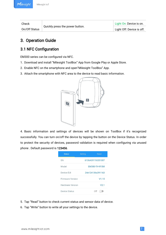<span id="page-6-1"></span><span id="page-6-0"></span>Check

On/Off Status

Quickly press the power button.<br>
Light On: Device is on.<br>
Light Off: Device is off.

### 3. Operation Guide

### 3.1 NFC Configuration

EM300 series can be configured via NFC.

- 1. Download and install "Milesight ToolBox" App from Google Play or Apple Store.
- 2. Enable NFC on the smartphone and open"Milesight ToolBox" App.
- 3. Attach the smartphone with NFC area to the device to read basic information.



4. Basic information and settings of devices will be shown on ToolBox if it's recognized successfully. You can turn on/off the device by tapping the button on the Device Status. In order to protect the security of devices, password validation is required when configuring via unused phone . Default password is 123456.

| <b>Status</b>           | <b>Setting</b> | <b>Reset</b>     |
|-------------------------|----------------|------------------|
| SN                      |                | 6136A39116331007 |
| Model                   |                | EM300-TH-915M    |
| Device FUI              |                | 24e124136a391163 |
| <b>Firmware Version</b> |                | V1.15            |
| Hardware Version        |                | V <sub>2.1</sub> |
| <b>Device Status</b>    |                | ∩ff              |

- 5. Tap "Read" button to check current status and sensor data of device.
- 6. Tap "Write" button to write all your settings to the device.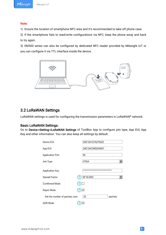#### <span id="page-7-0"></span>Note:

1) Ensure the location of smartphone NFC area and it's recommended to take off phone case.

2) If the smartphone fails to read/write configurations via NFC, keep the phone away and back to try again.

3) EM300 series can also be configured by dedicated NFC reader provided by Milesight IoT or you can configure it via TTL interface inside the device.



### 3.2 LoRaWAN Settings

LoRaWAN settings is used for configuring the transmission parameters in LoRaWAN® network.

#### Basic LoRaWAN Settings:

Go to Device->Setting->LoRaWAN Settings of ToolBox App to configure join type, App EUI, App Key and other information. You can also keep all settings by default.

| Device EUI                     | 24E124127A270222                 |  |  |
|--------------------------------|----------------------------------|--|--|
| App EUI                        | 24E124C0002A0001                 |  |  |
| <b>Application Port</b>        | 85                               |  |  |
| Join Type                      | <b>OTAA</b><br>▼                 |  |  |
| <b>Application Key</b>         | ******************************** |  |  |
| Spread Factor                  | <b>SF10-DR2</b><br>?             |  |  |
| <b>Comfirmed Mode</b>          | Y                                |  |  |
| Rejoin Mode                    | $\checkmark$                     |  |  |
| Set the number of packets sent | 32<br>packets                    |  |  |
| <b>ADR</b> Mode                | ✓                                |  |  |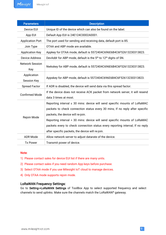| <b>Parameters</b>                 | <b>Description</b>                                                                                                                                                                                                                                                                                                                                                                                                     |
|-----------------------------------|------------------------------------------------------------------------------------------------------------------------------------------------------------------------------------------------------------------------------------------------------------------------------------------------------------------------------------------------------------------------------------------------------------------------|
| Device EUI                        | Unique ID of the device which can also be found on the label.                                                                                                                                                                                                                                                                                                                                                          |
| App EUI                           | Default App EUI is 24E124C0002A0001.                                                                                                                                                                                                                                                                                                                                                                                   |
| <b>Application Port</b>           | The port used for sending and receiving data, default port is 85.                                                                                                                                                                                                                                                                                                                                                      |
| Join Type                         | OTAA and ABP mode are available.                                                                                                                                                                                                                                                                                                                                                                                       |
| <b>Application Key</b>            | Appkey for OTAA mode, default is 5572404C696E6B4C6F52613230313823.                                                                                                                                                                                                                                                                                                                                                     |
| <b>Device Address</b>             | DevAddr for ABP mode, default is the 5 <sup>th</sup> to 12 <sup>th</sup> digits of SN.                                                                                                                                                                                                                                                                                                                                 |
| <b>Network Session</b><br>Key     | Nwkskey for ABP mode, default is 5572404C696E6B4C6F52613230313823.                                                                                                                                                                                                                                                                                                                                                     |
| Application<br><b>Session Key</b> | Appskey for ABP mode, default is 5572404C696E6B4C6F52613230313823.                                                                                                                                                                                                                                                                                                                                                     |
| <b>Spread Factor</b>              | If ADR is disabled, the device will send data via this spread factor.                                                                                                                                                                                                                                                                                                                                                  |
| <b>Confirmed Mode</b>             | If the device does not receive ACK packet from network server, it will resend<br>data 3 times at most.                                                                                                                                                                                                                                                                                                                 |
| Rejoin Mode                       | Reporting interval $\leq$ 30 mins: device will send specific mounts of LoRaMAC<br>packets to check connection status every 30 mins; If no reply after specific<br>packets, the device will re-join.<br>Reporting interval > 30 mins: device will send specific mounts of LoRaMAC<br>packets every to check connection status every reporting interval; If no reply<br>after specific packets, the device will re-join. |
| <b>ADR Mode</b>                   | Allow network server to adjust datarate of the device.                                                                                                                                                                                                                                                                                                                                                                 |
| <b>Tx Power</b>                   | Transmit power of device.                                                                                                                                                                                                                                                                                                                                                                                              |

#### Note:

- 1) Please contact sales for device EUI list if there are many units.
- 2) Please contact sales if you need random App keys before purchase.
- 3) Select OTAA mode if you use Milesight IoT cloud to manage devices.
- 4) Only OTAA mode supports rejoin mode.

#### LoRaWAN Frequency Settings:

Go to Setting->LoRaWAN Settings of ToolBox App to select supported frequency and select channels to send uplinks. Make sure the channels match the LoRaWAN® gateway.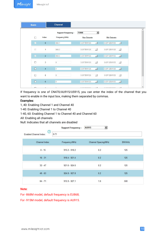| <b>Basic</b>            |                | <b>Channel</b>                             |                              |                |              |               |
|-------------------------|----------------|--------------------------------------------|------------------------------|----------------|--------------|---------------|
| $\Box$                  | Index          | <b>Support Frequency:</b><br>Frequency/MHz | <b>EU868</b><br>Max Datarate | 圛              | Min Datarate |               |
| $\overline{\mathbf{z}}$ | $\pmb{0}$      | 868.1                                      | 5-SF7BW125                   | $\mathbb{R}$   | 0-SF12BW125  | $\mathcal{P}$ |
| $\checkmark$            | 1              | 868.3                                      | 5-SF7BW125                   | $\frac{1}{2}$  | 0-SF12BW125  | $\mathcal{H}$ |
| $\mathbf{z}$            | $\overline{2}$ | 868.5                                      | 5-SF7BW125                   | $\mathcal{P}$  | 0-SF12BW125  | $\mathcal{A}$ |
| П                       | 3              | $\theta$                                   | 5-SF7BW125                   | $\overline{v}$ | 0-SF12BW125  | $\sim$        |
| $\Box$                  | $\overline{4}$ | $\overline{0}$                             | 5-SF7BW125                   | $\mathbf{v}$   | 0-SF12BW125  | $\mathbf{v}$  |
| П                       | 5              | $\overline{0}$                             | 5-SF7BW125                   | $\tau$         | 0-SF12BW125  | $\mathcal{V}$ |
| П                       | $\sqrt{6}$     | $\overline{0}$                             | 5-SF7BW125                   | $\mathbf{v}$   | 0-SF12BW125  | $\mathcal{A}$ |
| $\Box$                  |                |                                            | COFFINIANC                   |                | 0.0F40DIAMOE |               |

If frequency is one of CN470/AU915/US915, you can enter the index of the channel that you want to enable in the input box, making them separated by commas.

#### Examples:

- 1, 40: Enabling Channel 1 and Channel 40
- 1-40: Enabling Channel 1 to Channel 40
- 1-40, 60: Enabling Channel 1 to Channel 40 and Channel 60
- All: Enabling all channels

Null: Indicates that all channels are disabled

|                                          | <b>Support Frequency:</b> | $\overline{\phantom{a}}$<br>AU915 |        |
|------------------------------------------|---------------------------|-----------------------------------|--------|
| (?<br>$0 - 71$<br>Enabled Channel Index: |                           |                                   |        |
| Channel Index                            | Frequency/MHz             | Channel Spacing/MHz               | BW/kHz |
| $0 - 15$                                 | $915.2 - 918.2$           | 0.2                               | 125    |
| $16 - 31$                                | $918.4 - 921.4$           | 0.2                               | 125    |
| $32 - 47$                                | $921.6 - 924.6$           | 0.2                               | 125    |
| $48 - 63$                                | $924.8 - 927.8$           | 0.2                               | 125    |
| $64 - 71$                                | $915.9 - 927.1$           | 1.6                               | 500    |

#### Note:

For -868M model, default frequency is EU868;

For -915M model, default frequency is AU915.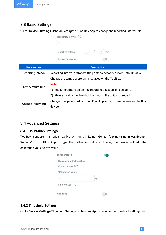### <span id="page-10-0"></span>3.3 Basic Settings

Go to "Device->Setting->General Settings" of ToolBox App to change the reporting interval, etc.

| Temperature Unit $(i)$ |        |    |     |
|------------------------|--------|----|-----|
| °C                     |        |    |     |
| Reporting Interval     | $\sim$ | 10 | min |
| Change Password        |        |    |     |

| <b>Parameters</b>       | <b>Description</b>                                                       |
|-------------------------|--------------------------------------------------------------------------|
| Reporting Interval      | Reporting interval of transmitting data to network server. Default: 600s |
|                         | Change the temperature unit displayed on the ToolBox.                    |
|                         | Note:                                                                    |
| <b>Temperature Unit</b> | 1) The temperature unit in the reporting package is fixed as °C.         |
|                         | 2) Please modify the threshold settings if the unit is changed.          |
|                         | Change the password for ToolBox App or software to read/write this       |
| <b>Change Password</b>  | device.                                                                  |

### 3.4 Advanced Settings

#### 3.4.1 Calibration Settings

ToolBox supports numerical calibration for all items. Go to "Device->Setting->Calibration Settings" of ToolBox App to type the calibration value and save, the device will add the calibration value to raw value.

| <b>Temperature</b>            |              |
|-------------------------------|--------------|
| <b>Numberical Calibration</b> |              |
| Current Value: 0 °C           |              |
| <b>Calibration Value</b>      |              |
| -1                            | $^{\circ}$ C |
| Final Value: -1 °C            |              |
| <b>Humidity</b>               |              |

#### 3.4.2 Threshold Settings

Go to Device->Setting->Threshold Settings of ToolBox App to enable the threshold settings and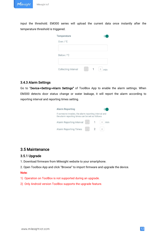<span id="page-11-0"></span>input the threshold. EM300 series will upload the current data once instantly after the temperature threshold is triggered.

| Temperature         |        |  |
|---------------------|--------|--|
| Over $/$ °C         |        |  |
| Below / °C          |        |  |
| Collecting Interval | $\sim$ |  |

#### 3.4.3 Alarm Settings

Go to "Device->Setting->Alarm Settings" of ToolBox App to enable the alarm settings. When EM300 detects door status change or water leakage, it will report the alarm according to reporting interval and reporting times setting.

| <b>Alarm Reporting</b>                                                                                  |          |       |
|---------------------------------------------------------------------------------------------------------|----------|-------|
| If someone invades, the alarm reporting interval and<br>the alarm reporting times can be set as follows |          |       |
| Alarm Reporting Interval -                                                                              | $\sim$ 1 | $ + $ |
| <b>Alarm Reporting Times</b>                                                                            |          |       |

### 3.5 Maintenance

#### 3.5.1 Upgrade

- 1. Download firmware from Milesight website to your smartphone.
- 2. Open Toolbox App and click "Browse" to import firmware and upgrade the device.<br>Note:

- 1) Operation on ToolBox is not supported during an upgrade.
- 2) Only Android version ToolBox supports the upgrade feature.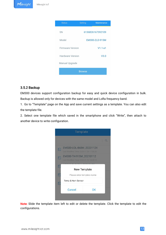<span id="page-12-0"></span>

#### 3.5.2 Backup

EM300 devices support configuration backup for easy and quick device configuration in bulk. Backup is allowed only for devices with the same model and LoRa frequency band.

1. Go to "Template" page on the App and save current settings as a template. You can also edit the template file.

2. Select one template file which saved in the smartphone and click "Write", then attach to another device to write configuration.



Note: Slide the template item left to edit or delete the template. Click the template to edit the configurations.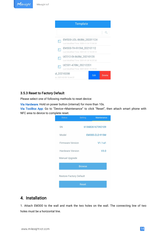<span id="page-13-1"></span><span id="page-13-0"></span>

#### 3.5.3 Reset to Factory Default

Please select one of following methods to reset device:

Via Hardware: Hold on power button (internal) for more than 10s.

Via ToolBox App: Go to "Device->Maintenance" to click "Reset", then attach smart phone with NFC area to device to complete reset.

| <b>Status</b>                  | <b>Setting</b> | <b>Maintenance</b> |
|--------------------------------|----------------|--------------------|
| <b>SN</b>                      |                | 6136B26167392109   |
| Model                          |                | EM300-ZLD-915M     |
| <b>Firmware Version</b>        |                | $V1.1-a1$          |
| <b>Hardware Version</b>        |                | V3.0               |
| <b>Manual Upgrade</b>          |                |                    |
|                                | <b>Browse</b>  |                    |
| <b>Restore Factory Default</b> |                |                    |
|                                | <b>Reset</b>   |                    |

### 4. Installation

1. Attach EM300 to the wall and mark the two holes on the wall. The connecting line of two holes must be a horizontal line.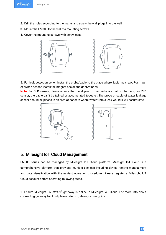- <span id="page-14-0"></span>2. Drill the holes according to the marks and screw the wall plugs into the wall.
- 3. Mount the EM300 to the wall via mounting screws.
- 4. Cover the mounting screws with screw caps.



5. For leak detection senor, install the probe/cable to the place where liquid may leak. For magn et switch sensor, install the magnet beside the door/window.

Note: For SLD sensor, please ensure the metal pins of the probe are flat on the floor; for ZLD sensor, the cable can't be twined or accumulated together. The probe or cable of water leakage sensor should be placed in an area of concern where water from a leak would likely accumulate.



### 5. Milesight IoT Cloud Management

EM300 series can be managed by Milesight IoT Cloud platform. Milesight IoT cloud is a comprehensive platform that provides multiple services including device remote management and data visualization with the easiest operation procedures. Please register a Milesight IoT Cloud account before operating following steps.

1. Ensure Milesight LoRaWAN® gateway is online in Milesight IoT Cloud. For more info about connecting gateway to cloud please refer to gateway's user guide.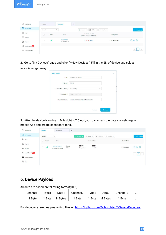<span id="page-15-0"></span>

| O Dashboard                         | Devices |        | <b>SCORE AND RESIDENT</b><br>Gateways | $^{+}$                                                    |                     |               |
|-------------------------------------|---------|--------|---------------------------------------|-----------------------------------------------------------|---------------------|---------------|
| $\Box$ My Devices                   | Search  |        | $\mathbb{Q}$                          | O Normal 1<br>all Offline 0                               | $@$ Inactive 0      | + New Devices |
| <b>2</b> Map                        | □       | Status | Name                                  | <b>Associated Devices</b><br>(Joined /Not Joined /Failed) | <b>Last Updated</b> |               |
| If <sub>0</sub> Triggers<br>Reports | $\Box$  | all    | <b>UG Gateway</b><br>6222A3243835     | $Q / Q / Q$ Detail                                        | a few seconds ago   | $Q \sim Q$    |
| $\boxtimes$ Event Center 46         |         |        |                                       |                                                           |                     |               |
| △<br>Sharing Center                 |         |        |                                       |                                                           |                     | $\rightarrow$ |

2. Go to "My Devices" page and click "+New Devices". Fill in the SN of device and select associated gateway.

| <b>Add Device</b>     |                                  |        |
|-----------------------|----------------------------------|--------|
| $*SN:$                | 6136A39116331007                 |        |
| * Name:               | <b>EM300</b>                     |        |
| * Associated Gateway: | UG Gateway                       | $\vee$ |
| * Device EUI:         | 24e124136A391163                 |        |
| * Application Key:    | 5572404c696e6b4c6f52613230313823 |        |

3. After the device is online in Milesight IoT Cloud, you can check the data via webpage or mobile App and create dashboard for it.

| ⊙<br>Dashboard                   | <b>Devices</b><br>Gateways                     | $^{+}$                        |                                                    |                    |               |
|----------------------------------|------------------------------------------------|-------------------------------|----------------------------------------------------|--------------------|---------------|
| My Devices                       | $\hbox{O}$<br><b>EM300</b>                     | $\odot$ Normal 1              | $\otimes$ Inactive 0<br>置 Alarm 0<br>all Offline 2 |                    | + New Devices |
| <b>2</b> Map                     | Status<br>Name                                 |                               | Interface Status                                   | <b>Update Time</b> |               |
| ifo Triggers                     |                                                | 25.6°C                        | 36.5%                                              |                    |               |
| Reports                          | EM300-MCS<br>all<br>$\Box$<br>6136A39181573103 | Open<br>Status<br>Temperature | Humidity                                           | 5 minutes ago      | Q W           |
| Event Center <sup>99+</sup>      |                                                |                               |                                                    |                    | $\vert$ 1     |
| $\circledcirc$<br>Sharing Center |                                                |                               |                                                    |                    |               |
| $R$ Me                           |                                                |                               |                                                    |                    |               |
|                                  |                                                |                               |                                                    |                    |               |

### 6. Device Payload

All data are based on following format(HEX):

| Channel1          | Type1  | Data1   | Channel <sub>2</sub> | Type <sub>2</sub> | Data2   | Channel 3 | $\cdots$ |
|-------------------|--------|---------|----------------------|-------------------|---------|-----------|----------|
| <sup>1</sup> Byte | 1 Byte | N Bytes | <sup>1</sup> Byte    | 1 Byte            | M Bytes | 1 Byte    | $\cdots$ |

For decoder examples please find files on <https://github.com/Milesight-IoT/SensorDecoders>.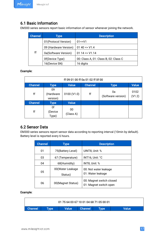### <span id="page-16-0"></span>6.1 Basic Information

EM300 series sensors report basic information of sensor whenever joining the network.

| <b>Channel</b> | Type                  | <b>Description</b>                    |
|----------------|-----------------------|---------------------------------------|
|                | 01 (Protocol Version) | $01 = > V1$                           |
|                | 09 (Hardware Version) | $01 40 \approx \text{V}1.4$           |
| ff             | 0a(Software Version)  | $0114 = V1.14$                        |
|                | Of(Device Type)       | 00: Class A, 01: Class B, 02: Class C |
|                | 16(Device SN)         | 16 digits                             |

#### Example:

|                |                             | ff 09 01 00 ff 0a 01 02 ff 0f 00 |                |                          |                |
|----------------|-----------------------------|----------------------------------|----------------|--------------------------|----------------|
| <b>Channel</b> | <b>Type</b>                 | <b>Value</b>                     | <b>Channel</b> | <b>Type</b>              | Value          |
| ff             | 09<br>(Hardware<br>version) | 0100 (V1.0)                      | ff             | 0a<br>(Software version) | 0102<br>(V1.2) |
| <b>Channel</b> | <b>Type</b>                 | <b>Value</b>                     |                |                          |                |
| ff             | 0f<br>(Device<br>Type)      | 00<br>(Class A)                  |                |                          |                |

### 6.2 Sensor Data

EM300 series sensors report sensor data according to reporting interval (10min by default).<br>Battery level is reported every 6 hours.

| <b>Channel</b> | <b>Type</b>                 | <b>Description</b>                                 |
|----------------|-----------------------------|----------------------------------------------------|
| 01             | 75(Battery Level)           | UINT8, Unit: %                                     |
| 03             | 67 (Temperature)            | INT16, Unit: °C                                    |
| 04             | 68(Humidity)                | INT8, Unit: %                                      |
| 05             | 00(Water Leakage<br>Status) | 00: Not water leakage<br>01: Water leakage         |
| 06             | 00(Magnet Status)           | 00: Magnet switch closed<br>01: Magnet switch open |

Example:

|                |      | 01 75 64 03 67 10 01 04 68 71 05 00 01 |                |             |              |
|----------------|------|----------------------------------------|----------------|-------------|--------------|
| <b>Channel</b> | Type | <b>Value</b>                           | <b>Channel</b> | <b>Type</b> | <b>Nalue</b> |